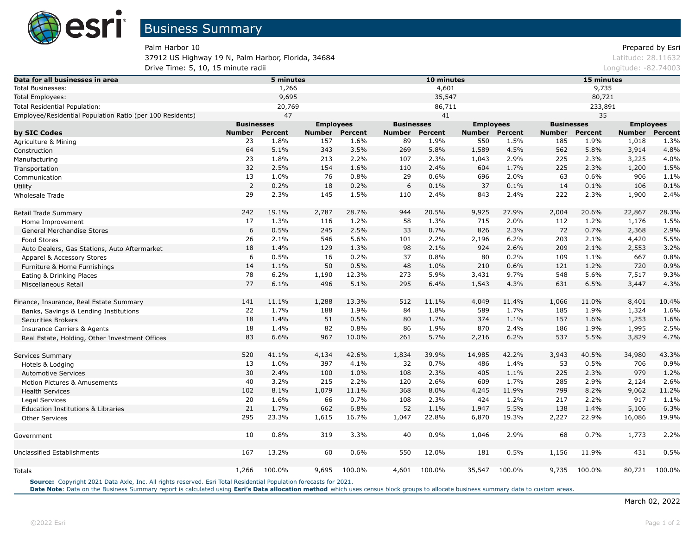

Palm Harbor 10 Prepared by Esri 37912 US Highway 19 N, Palm Harbor, Florida, 34684 Latitude: 28.11632 **Drive Time: 5, 10, 15 minute radii et al. 2003** Longitude: -82.74003

| Data for all businesses in area                           |                   | 5 minutes |               |                  |               | 10 minutes        |        |                  | 15 minutes    |                   |        |                  |  |
|-----------------------------------------------------------|-------------------|-----------|---------------|------------------|---------------|-------------------|--------|------------------|---------------|-------------------|--------|------------------|--|
| <b>Total Businesses:</b>                                  | 1,266             |           |               |                  |               | 4,601             |        |                  | 9,735         |                   |        |                  |  |
| <b>Total Employees:</b>                                   | 9,695             |           |               |                  | 35,547        |                   |        |                  | 80,721        |                   |        |                  |  |
| Total Residential Population:                             | 20,769            |           |               |                  | 86,711        |                   |        |                  | 233,891       |                   |        |                  |  |
| Employee/Residential Population Ratio (per 100 Residents) | 47                |           |               |                  | 41            |                   |        |                  | 35            |                   |        |                  |  |
|                                                           | <b>Businesses</b> |           |               | <b>Employees</b> |               | <b>Businesses</b> |        | <b>Employees</b> |               | <b>Businesses</b> |        | <b>Employees</b> |  |
| by SIC Codes                                              | <b>Number</b>     | Percent   | <b>Number</b> | Percent          | <b>Number</b> | Percent           | Number | <b>Percent</b>   | <b>Number</b> | Percent           | Number | <b>Percent</b>   |  |
| Agriculture & Mining                                      | 23                | 1.8%      | 157           | 1.6%             | 89            | 1.9%              | 550    | 1.5%             | 185           | 1.9%              | 1,018  | 1.3%             |  |
| Construction                                              | 64                | 5.1%      | 343           | 3.5%             | 269           | 5.8%              | 1,589  | 4.5%             | 562           | 5.8%              | 3,914  | 4.8%             |  |
| Manufacturing                                             | 23                | 1.8%      | 213           | 2.2%             | 107           | 2.3%              | 1,043  | 2.9%             | 225           | 2.3%              | 3,225  | 4.0%             |  |
| Transportation                                            | 32                | 2.5%      | 154           | 1.6%             | 110           | 2.4%              | 604    | 1.7%             | 225           | 2.3%              | 1,200  | 1.5%             |  |
| Communication                                             | 13                | 1.0%      | 76            | 0.8%             | 29            | 0.6%              | 696    | 2.0%             | 63            | 0.6%              | 906    | 1.1%             |  |
| Utility                                                   | $\overline{2}$    | 0.2%      | 18            | 0.2%             | 6             | 0.1%              | 37     | 0.1%             | 14            | 0.1%              | 106    | 0.1%             |  |
| Wholesale Trade                                           | 29                | 2.3%      | 145           | 1.5%             | 110           | 2.4%              | 843    | 2.4%             | 222           | 2.3%              | 1,900  | 2.4%             |  |
| Retail Trade Summary                                      | 242               | 19.1%     | 2,787         | 28.7%            | 944           | 20.5%             | 9,925  | 27.9%            | 2,004         | 20.6%             | 22,867 | 28.3%            |  |
| Home Improvement                                          | 17                | 1.3%      | 116           | 1.2%             | 58            | 1.3%              | 715    | 2.0%             | 112           | 1.2%              | 1,176  | 1.5%             |  |
| General Merchandise Stores                                | 6                 | 0.5%      | 245           | 2.5%             | 33            | 0.7%              | 826    | 2.3%             | 72            | 0.7%              | 2,368  | 2.9%             |  |
| <b>Food Stores</b>                                        | 26                | 2.1%      | 546           | 5.6%             | 101           | 2.2%              | 2,196  | 6.2%             | 203           | 2.1%              | 4,420  | 5.5%             |  |
| Auto Dealers, Gas Stations, Auto Aftermarket              | 18                | 1.4%      | 129           | 1.3%             | 98            | 2.1%              | 924    | 2.6%             | 209           | 2.1%              | 2,553  | 3.2%             |  |
| Apparel & Accessory Stores                                | 6                 | 0.5%      | 16            | 0.2%             | 37            | 0.8%              | 80     | 0.2%             | 109           | 1.1%              | 667    | 0.8%             |  |
| Furniture & Home Furnishings                              | 14                | 1.1%      | 50            | 0.5%             | 48            | 1.0%              | 210    | 0.6%             | 121           | 1.2%              | 720    | 0.9%             |  |
| Eating & Drinking Places                                  | 78                | 6.2%      | 1,190         | 12.3%            | 273           | 5.9%              | 3,431  | 9.7%             | 548           | 5.6%              | 7,517  | 9.3%             |  |
| Miscellaneous Retail                                      | 77                | 6.1%      | 496           | 5.1%             | 295           | 6.4%              | 1,543  | 4.3%             | 631           | 6.5%              | 3,447  | 4.3%             |  |
| Finance, Insurance, Real Estate Summary                   | 141               | 11.1%     | 1,288         | 13.3%            | 512           | 11.1%             | 4,049  | 11.4%            | 1,066         | 11.0%             | 8,401  | 10.4%            |  |
| Banks, Savings & Lending Institutions                     | 22                | 1.7%      | 188           | 1.9%             | 84            | 1.8%              | 589    | 1.7%             | 185           | 1.9%              | 1,324  | 1.6%             |  |
| <b>Securities Brokers</b>                                 | 18                | 1.4%      | 51            | 0.5%             | 80            | 1.7%              | 374    | 1.1%             | 157           | 1.6%              | 1,253  | 1.6%             |  |
| <b>Insurance Carriers &amp; Agents</b>                    | 18                | 1.4%      | 82            | 0.8%             | 86            | 1.9%              | 870    | 2.4%             | 186           | 1.9%              | 1,995  | 2.5%             |  |
| Real Estate, Holding, Other Investment Offices            | 83                | 6.6%      | 967           | 10.0%            | 261           | 5.7%              | 2,216  | 6.2%             | 537           | 5.5%              | 3,829  | 4.7%             |  |
| Services Summary                                          | 520               | 41.1%     | 4,134         | 42.6%            | 1,834         | 39.9%             | 14,985 | 42.2%            | 3,943         | 40.5%             | 34,980 | 43.3%            |  |
| Hotels & Lodging                                          | 13                | 1.0%      | 397           | 4.1%             | 32            | 0.7%              | 486    | 1.4%             | 53            | 0.5%              | 706    | 0.9%             |  |
| <b>Automotive Services</b>                                | 30                | 2.4%      | 100           | 1.0%             | 108           | 2.3%              | 405    | 1.1%             | 225           | 2.3%              | 979    | 1.2%             |  |
| Motion Pictures & Amusements                              | 40                | 3.2%      | 215           | 2.2%             | 120           | 2.6%              | 609    | 1.7%             | 285           | 2.9%              | 2,124  | 2.6%             |  |
| <b>Health Services</b>                                    | 102               | 8.1%      | 1,079         | 11.1%            | 368           | 8.0%              | 4,245  | 11.9%            | 799           | 8.2%              | 9,062  | 11.2%            |  |
| Legal Services                                            | 20                | 1.6%      | 66            | 0.7%             | 108           | 2.3%              | 424    | 1.2%             | 217           | 2.2%              | 917    | 1.1%             |  |
| <b>Education Institutions &amp; Libraries</b>             | 21                | 1.7%      | 662           | 6.8%             | 52            | 1.1%              | 1,947  | 5.5%             | 138           | 1.4%              | 5,106  | 6.3%             |  |
| <b>Other Services</b>                                     | 295               | 23.3%     | 1,615         | 16.7%            | 1,047         | 22.8%             | 6,870  | 19.3%            | 2,227         | 22.9%             | 16,086 | 19.9%            |  |
| Government                                                | 10                | 0.8%      | 319           | 3.3%             | 40            | 0.9%              | 1,046  | 2.9%             | 68            | 0.7%              | 1,773  | 2.2%             |  |
| Unclassified Establishments                               | 167               | 13.2%     | 60            | 0.6%             | 550           | 12.0%             | 181    | 0.5%             | 1,156         | 11.9%             | 431    | 0.5%             |  |
| Totals                                                    | 1,266             | 100.0%    | 9,695         | 100.0%           | 4,601         | 100.0%            | 35,547 | 100.0%           | 9,735         | 100.0%            | 80,721 | 100.0%           |  |

**Source:** Copyright 2021 Data Axle, Inc. All rights reserved. Esri Total Residential Population forecasts for 2021.

Date Note: Data on the Business Summary report is calculated using [Esri's Data allocation method](http://doc.arcgis.com/en/esri-demographics/reference/data-allocation-method.htm) which uses census block groups to allocate business summary data to custom areas.